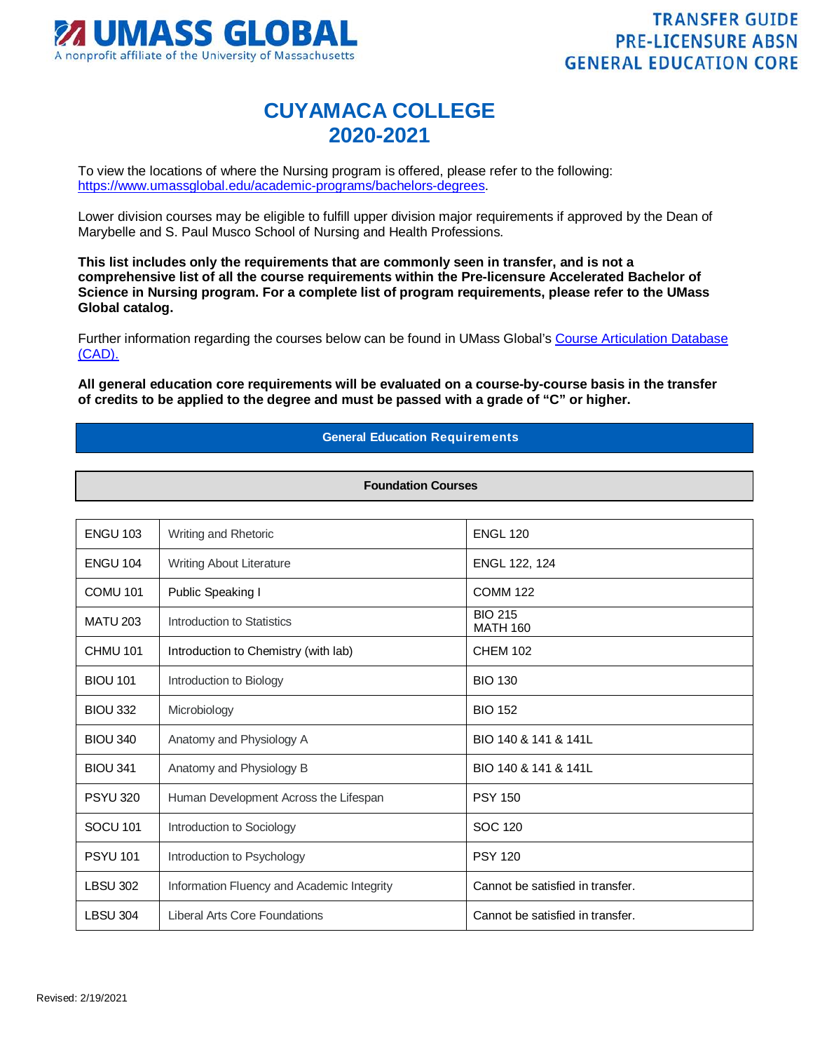

## **CUYAMACA COLLEGE 2020-2021**

To view the locations of where the Nursing program is offered, please refer to the following: [https://www.umassglobal.edu/academic-programs/bachelors-degrees.](https://www.umassglobal.edu/academic-programs/bachelors-degrees)

Lower division courses may be eligible to fulfill upper division major requirements if approved by the Dean of Marybelle and S. Paul Musco School of Nursing and Health Professions.

**This list includes only the requirements that are commonly seen in transfer, and is not a comprehensive list of all the course requirements within the Pre-licensure Accelerated Bachelor of Science in Nursing program. For a complete list of program requirements, please refer to the UMass Global catalog.**

Further information regarding the courses below can be found in UMass Global's [Course Articulation Database](http://services.umassglobal.edu/studentservices/TransferCredit/)  [\(CAD\).](http://services.umassglobal.edu/studentservices/TransferCredit/) 

**All general education core requirements will be evaluated on a course-by-course basis in the transfer of credits to be applied to the degree and must be passed with a grade of "C" or higher.**

## **General Education Requirements**

## **Foundation Courses**

| <b>ENGU 103</b>     | Writing and Rhetoric                       | <b>ENGL 120</b>                   |
|---------------------|--------------------------------------------|-----------------------------------|
| <b>ENGU 104</b>     | Writing About Literature                   | ENGL 122, 124                     |
| COMU <sub>101</sub> | Public Speaking I                          | <b>COMM 122</b>                   |
| <b>MATU 203</b>     | Introduction to Statistics                 | <b>BIO 215</b><br><b>MATH 160</b> |
| CHMU <sub>101</sub> | Introduction to Chemistry (with lab)       | <b>CHEM 102</b>                   |
| <b>BIOU 101</b>     | Introduction to Biology                    | <b>BIO 130</b>                    |
| <b>BIOU 332</b>     | Microbiology                               | <b>BIO 152</b>                    |
| <b>BIOU 340</b>     | Anatomy and Physiology A                   | BIO 140 & 141 & 141L              |
| <b>BIOU 341</b>     | Anatomy and Physiology B                   | BIO 140 & 141 & 141L              |
| <b>PSYU 320</b>     | Human Development Across the Lifespan      | <b>PSY 150</b>                    |
| SOCU <sub>101</sub> | Introduction to Sociology                  | SOC 120                           |
| <b>PSYU 101</b>     | Introduction to Psychology                 | <b>PSY 120</b>                    |
| <b>LBSU 302</b>     | Information Fluency and Academic Integrity | Cannot be satisfied in transfer.  |
| <b>LBSU 304</b>     | <b>Liberal Arts Core Foundations</b>       | Cannot be satisfied in transfer.  |